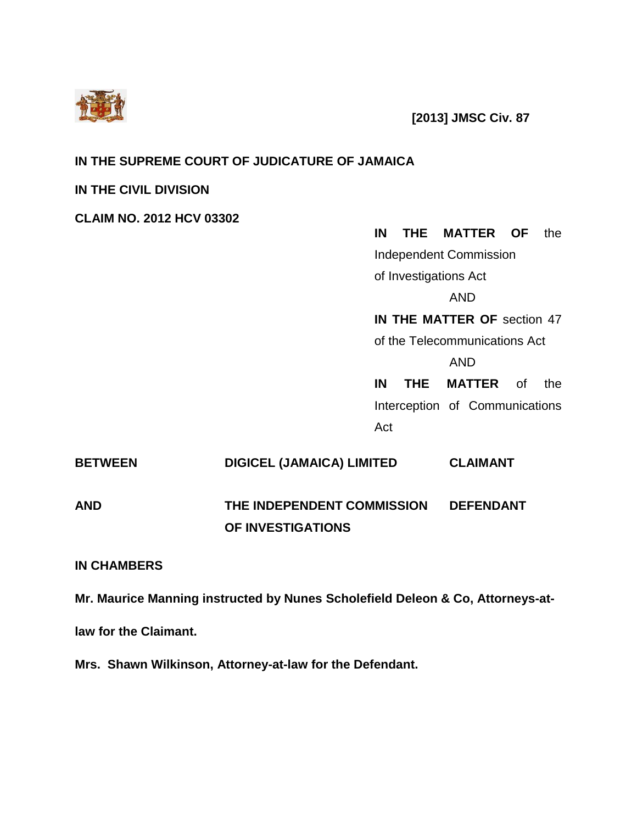

 **[2013] JMSC Civ. 87**

# **IN THE SUPREME COURT OF JUDICATURE OF JAMAICA**

# **IN THE CIVIL DIVISION**

**CLAIM NO. 2012 HCV 03302**

**IN THE MATTER OF** the Independent Commission of Investigations Act AND **IN THE MATTER OF** section 47 of the Telecommunications Act AND **IN THE MATTER** of the Interception of Communications

Act

| <b>BETWEEN</b> | <b>DIGICEL (JAMAICA) LIMITED</b> | <b>CLAIMANT</b>  |
|----------------|----------------------------------|------------------|
| AND            | THE INDEPENDENT COMMISSION       | <b>DEFENDANT</b> |
|                | OF INVESTIGATIONS                |                  |

# **IN CHAMBERS**

**Mr. Maurice Manning instructed by Nunes Scholefield Deleon & Co, Attorneys-at-**

**law for the Claimant.**

**Mrs. Shawn Wilkinson, Attorney-at-law for the Defendant.**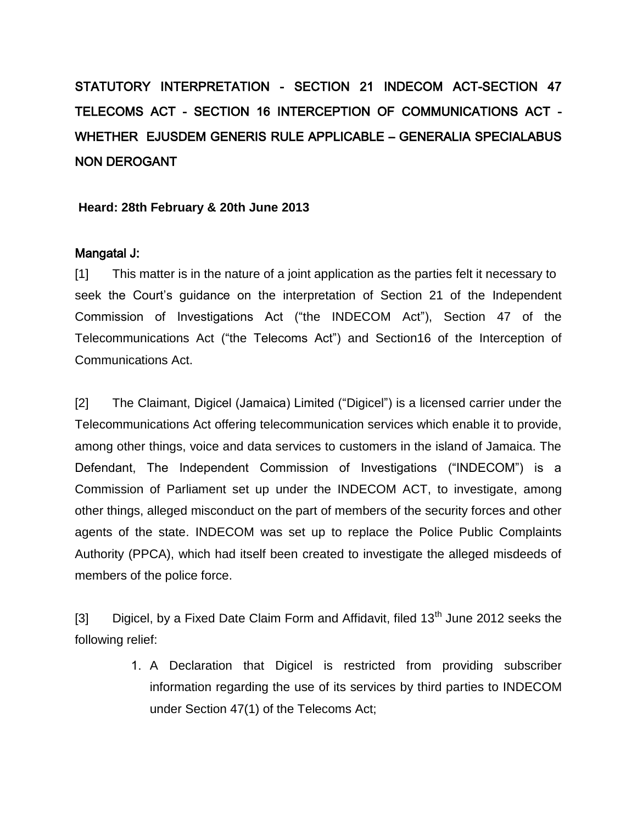# STATUTORY INTERPRETATION - SECTION 21 INDECOM ACT-SECTION 47 TELECOMS ACT - SECTION 16 INTERCEPTION OF COMMUNICATIONS ACT - WHETHER EJUSDEM GENERIS RULE APPLICABLE – GENERALIA SPECIALABUS NON DEROGANT

#### **Heard: 28th February & 20th June 2013**

#### Mangatal J:

[1] This matter is in the nature of a joint application as the parties felt it necessary to seek the Court's guidance on the interpretation of Section 21 of the Independent Commission of Investigations Act ("the INDECOM Act"), Section 47 of the Telecommunications Act ("the Telecoms Act") and Section16 of the Interception of Communications Act.

[2] The Claimant, Digicel (Jamaica) Limited ("Digicel") is a licensed carrier under the Telecommunications Act offering telecommunication services which enable it to provide, among other things, voice and data services to customers in the island of Jamaica. The Defendant, The Independent Commission of Investigations ("INDECOM") is a Commission of Parliament set up under the INDECOM ACT, to investigate, among other things, alleged misconduct on the part of members of the security forces and other agents of the state. INDECOM was set up to replace the Police Public Complaints Authority (PPCA), which had itself been created to investigate the alleged misdeeds of members of the police force.

[3] Digicel, by a Fixed Date Claim Form and Affidavit, filed  $13<sup>th</sup>$  June 2012 seeks the following relief:

> 1. A Declaration that Digicel is restricted from providing subscriber information regarding the use of its services by third parties to INDECOM under Section 47(1) of the Telecoms Act;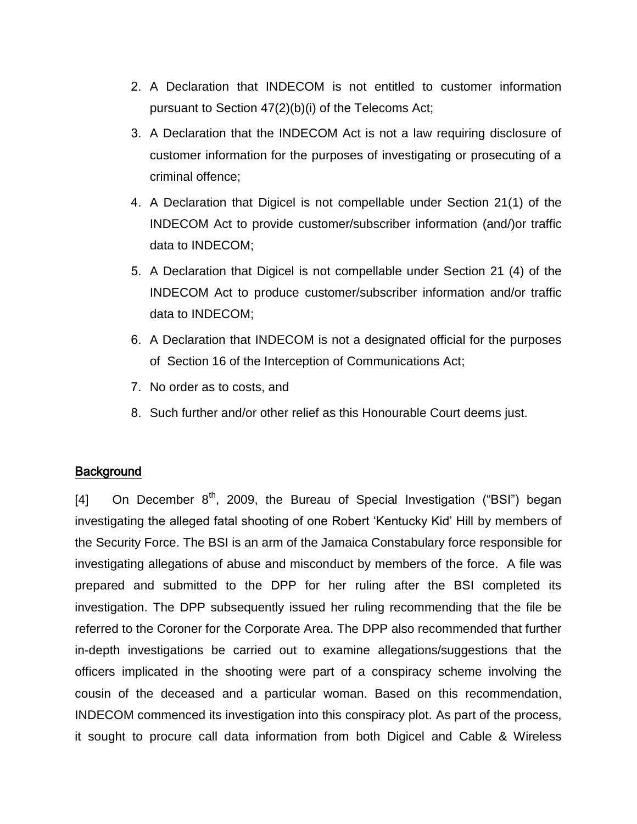- 2. A Declaration that INDECOM is not entitled to customer information pursuant to Section 47(2)(b)(i) of the Telecoms Act;
- 3. A Declaration that the INDECOM Act is not a law requiring disclosure of customer information for the purposes of investigating or prosecuting of a criminal offence;
- 4. A Declaration that Digicel is not compellable under Section 21(1) of the INDECOM Act to provide customer/subscriber information (and/)or traffic data to INDECOM;
- 5. A Declaration that Digicel is not compellable under Section 21 (4) of the INDECOM Act to produce customer/subscriber information and/or traffic data to INDECOM;
- 6. A Declaration that INDECOM is not a designated official for the purposes of Section 16 of the Interception of Communications Act;
- 7. No order as to costs, and
- 8. Such further and/or other relief as this Honourable Court deems just.

## **Background**

[4] On December  $8<sup>th</sup>$ , 2009, the Bureau of Special Investigation ("BSI") began investigating the alleged fatal shooting of one Robert 'Kentucky Kid' Hill by members of the Security Force. The BSI is an arm of the Jamaica Constabulary force responsible for investigating allegations of abuse and misconduct by members of the force. A file was prepared and submitted to the DPP for her ruling after the BSI completed its investigation. The DPP subsequently issued her ruling recommending that the file be referred to the Coroner for the Corporate Area. The DPP also recommended that further in-depth investigations be carried out to examine allegations/suggestions that the officers implicated in the shooting were part of a conspiracy scheme involving the cousin of the deceased and a particular woman. Based on this recommendation, INDECOM commenced its investigation into this conspiracy plot. As part of the process, it sought to procure call data information from both Digicel and Cable & Wireless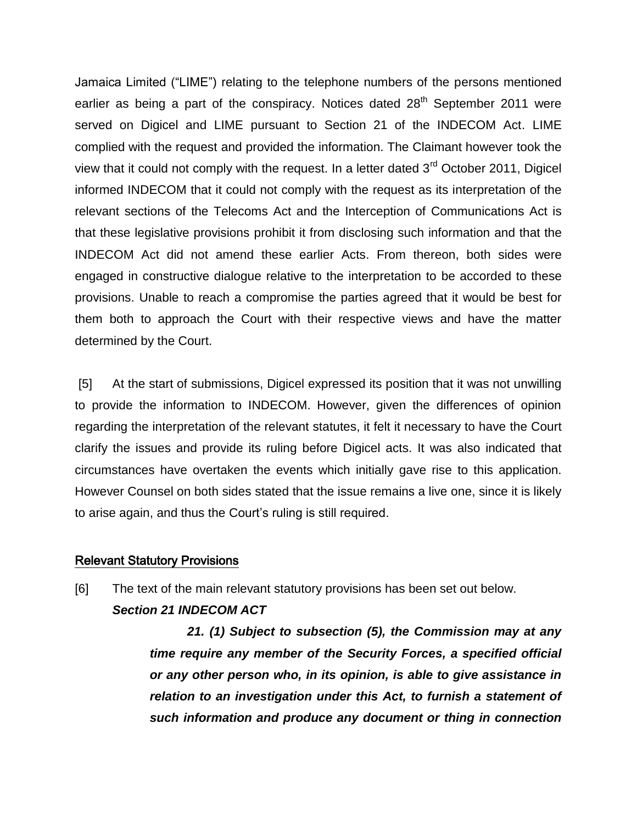Jamaica Limited ("LIME") relating to the telephone numbers of the persons mentioned earlier as being a part of the conspiracy. Notices dated  $28<sup>th</sup>$  September 2011 were served on Digicel and LIME pursuant to Section 21 of the INDECOM Act. LIME complied with the request and provided the information. The Claimant however took the view that it could not comply with the request. In a letter dated  $3<sup>rd</sup>$  October 2011, Digicel informed INDECOM that it could not comply with the request as its interpretation of the relevant sections of the Telecoms Act and the Interception of Communications Act is that these legislative provisions prohibit it from disclosing such information and that the INDECOM Act did not amend these earlier Acts. From thereon, both sides were engaged in constructive dialogue relative to the interpretation to be accorded to these provisions. Unable to reach a compromise the parties agreed that it would be best for them both to approach the Court with their respective views and have the matter determined by the Court.

[5] At the start of submissions, Digicel expressed its position that it was not unwilling to provide the information to INDECOM. However, given the differences of opinion regarding the interpretation of the relevant statutes, it felt it necessary to have the Court clarify the issues and provide its ruling before Digicel acts. It was also indicated that circumstances have overtaken the events which initially gave rise to this application. However Counsel on both sides stated that the issue remains a live one, since it is likely to arise again, and thus the Court's ruling is still required.

#### Relevant Statutory Provisions

[6] The text of the main relevant statutory provisions has been set out below. *Section 21 INDECOM ACT*

> *21. (1) Subject to subsection (5), the Commission may at any time require any member of the Security Forces, a specified official or any other person who, in its opinion, is able to give assistance in relation to an investigation under this Act, to furnish a statement of such information and produce any document or thing in connection*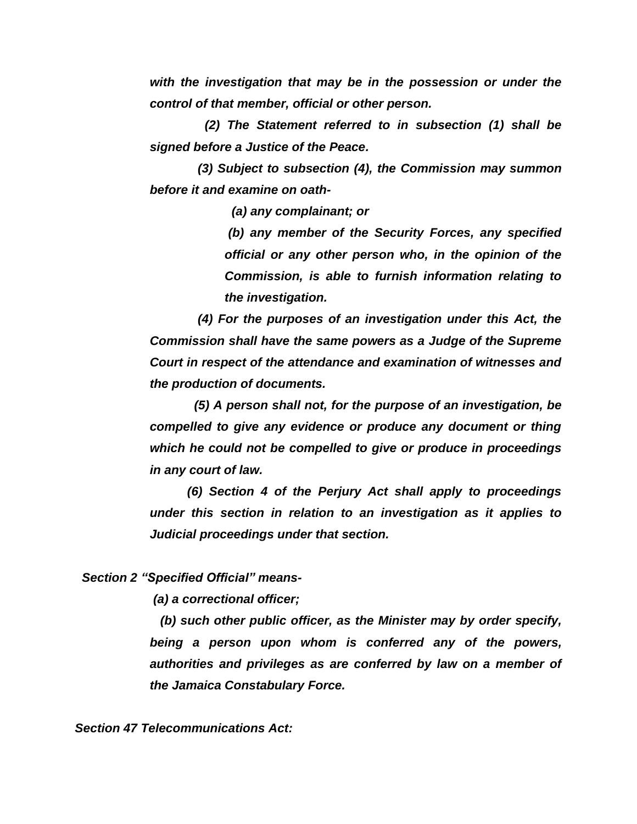*with the investigation that may be in the possession or under the control of that member, official or other person.*

 *(2) The Statement referred to in subsection (1) shall be signed before a Justice of the Peace.*

 *(3) Subject to subsection (4), the Commission may summon before it and examine on oath-*

*(a) any complainant; or*

*(b) any member of the Security Forces, any specified official or any other person who, in the opinion of the Commission, is able to furnish information relating to the investigation.*

 *(4) For the purposes of an investigation under this Act, the Commission shall have the same powers as a Judge of the Supreme Court in respect of the attendance and examination of witnesses and the production of documents.*

 *(5) A person shall not, for the purpose of an investigation, be compelled to give any evidence or produce any document or thing which he could not be compelled to give or produce in proceedings in any court of law.* 

*(6) Section 4 of the Perjury Act shall apply to proceedings under this section in relation to an investigation as it applies to Judicial proceedings under that section.*

*Section 2 "Specified Official" means-*

*(a) a correctional officer;*

 *(b) such other public officer, as the Minister may by order specify, being a person upon whom is conferred any of the powers, authorities and privileges as are conferred by law on a member of the Jamaica Constabulary Force.*

*Section 47 Telecommunications Act:*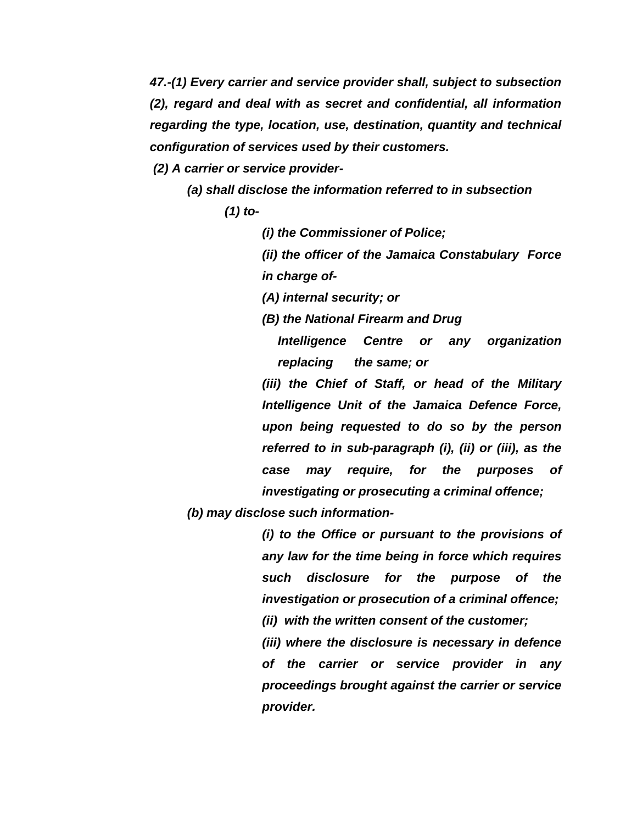*47.-(1) Every carrier and service provider shall, subject to subsection (2), regard and deal with as secret and confidential, all information regarding the type, location, use, destination, quantity and technical configuration of services used by their customers.* 

*(2) A carrier or service provider-*

*(a) shall disclose the information referred to in subsection* 

*(1) to-*

*(i) the Commissioner of Police;* 

*(ii) the officer of the Jamaica Constabulary Force in charge of-*

*(A) internal security; or* 

*(B) the National Firearm and Drug* 

*Intelligence Centre or any organization replacing the same; or* 

*(iii) the Chief of Staff, or head of the Military Intelligence Unit of the Jamaica Defence Force, upon being requested to do so by the person referred to in sub-paragraph (i), (ii) or (iii), as the case may require, for the purposes of investigating or prosecuting a criminal offence;* 

*(b) may disclose such information-*

*(i) to the Office or pursuant to the provisions of any law for the time being in force which requires such disclosure for the purpose of the investigation or prosecution of a criminal offence;* 

*(ii) with the written consent of the customer;* 

*(iii) where the disclosure is necessary in defence of the carrier or service provider in any proceedings brought against the carrier or service provider.*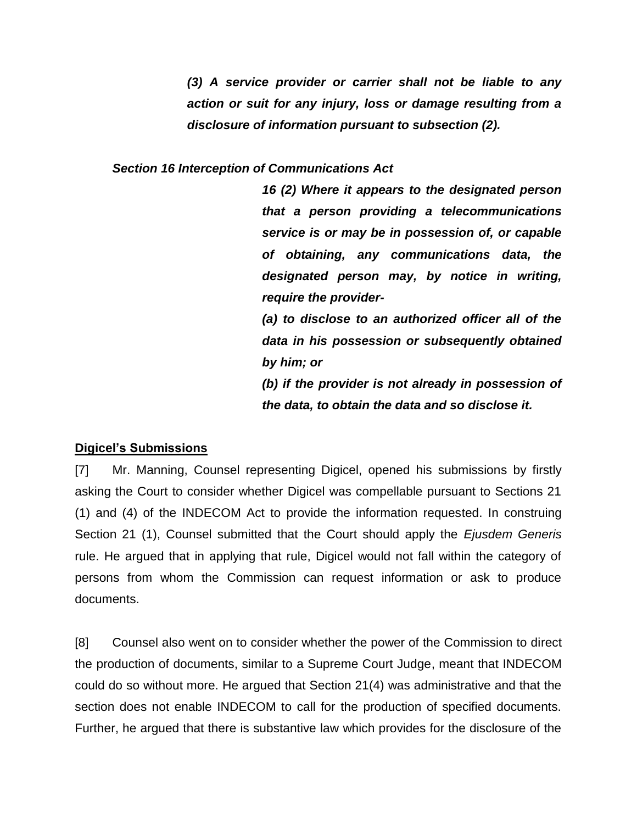*(3) A service provider or carrier shall not be liable to any action or suit for any injury, loss or damage resulting from a disclosure of information pursuant to subsection (2).* 

#### *Section 16 Interception of Communications Act*

*16 (2) Where it appears to the designated person that a person providing a telecommunications service is or may be in possession of, or capable of obtaining, any communications data, the designated person may, by notice in writing, require the provider- (a) to disclose to an authorized officer all of the* 

*data in his possession or subsequently obtained by him; or* 

*(b) if the provider is not already in possession of the data, to obtain the data and so disclose it.*

# **Digicel's Submissions**

[7] Mr. Manning, Counsel representing Digicel, opened his submissions by firstly asking the Court to consider whether Digicel was compellable pursuant to Sections 21 (1) and (4) of the INDECOM Act to provide the information requested. In construing Section 21 (1), Counsel submitted that the Court should apply the *Ejusdem Generis* rule. He argued that in applying that rule, Digicel would not fall within the category of persons from whom the Commission can request information or ask to produce documents.

[8] Counsel also went on to consider whether the power of the Commission to direct the production of documents, similar to a Supreme Court Judge, meant that INDECOM could do so without more. He argued that Section 21(4) was administrative and that the section does not enable INDECOM to call for the production of specified documents. Further, he argued that there is substantive law which provides for the disclosure of the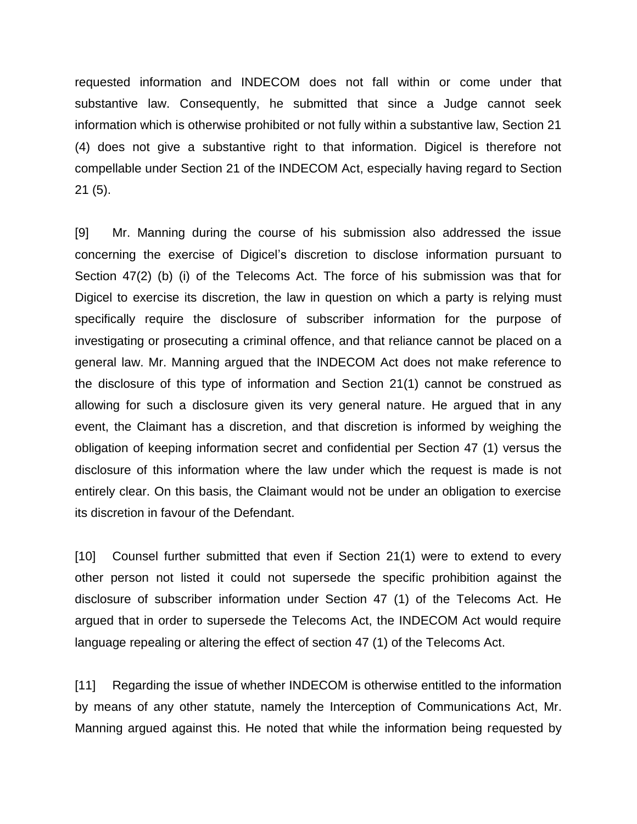requested information and INDECOM does not fall within or come under that substantive law. Consequently, he submitted that since a Judge cannot seek information which is otherwise prohibited or not fully within a substantive law, Section 21 (4) does not give a substantive right to that information. Digicel is therefore not compellable under Section 21 of the INDECOM Act, especially having regard to Section 21 (5).

[9] Mr. Manning during the course of his submission also addressed the issue concerning the exercise of Digicel's discretion to disclose information pursuant to Section 47(2) (b) (i) of the Telecoms Act. The force of his submission was that for Digicel to exercise its discretion, the law in question on which a party is relying must specifically require the disclosure of subscriber information for the purpose of investigating or prosecuting a criminal offence, and that reliance cannot be placed on a general law. Mr. Manning argued that the INDECOM Act does not make reference to the disclosure of this type of information and Section 21(1) cannot be construed as allowing for such a disclosure given its very general nature. He argued that in any event, the Claimant has a discretion, and that discretion is informed by weighing the obligation of keeping information secret and confidential per Section 47 (1) versus the disclosure of this information where the law under which the request is made is not entirely clear. On this basis, the Claimant would not be under an obligation to exercise its discretion in favour of the Defendant.

[10] Counsel further submitted that even if Section 21(1) were to extend to every other person not listed it could not supersede the specific prohibition against the disclosure of subscriber information under Section 47 (1) of the Telecoms Act. He argued that in order to supersede the Telecoms Act, the INDECOM Act would require language repealing or altering the effect of section 47 (1) of the Telecoms Act.

[11] Regarding the issue of whether INDECOM is otherwise entitled to the information by means of any other statute, namely the Interception of Communications Act, Mr. Manning argued against this. He noted that while the information being requested by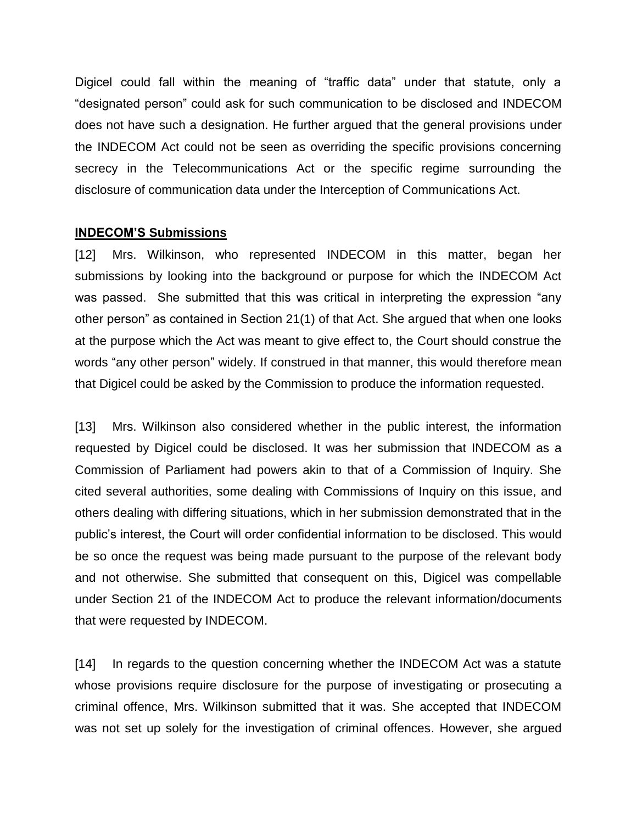Digicel could fall within the meaning of "traffic data" under that statute, only a "designated person" could ask for such communication to be disclosed and INDECOM does not have such a designation. He further argued that the general provisions under the INDECOM Act could not be seen as overriding the specific provisions concerning secrecy in the Telecommunications Act or the specific regime surrounding the disclosure of communication data under the Interception of Communications Act.

#### **INDECOM'S Submissions**

[12] Mrs. Wilkinson, who represented INDECOM in this matter, began her submissions by looking into the background or purpose for which the INDECOM Act was passed. She submitted that this was critical in interpreting the expression "any other person" as contained in Section 21(1) of that Act. She argued that when one looks at the purpose which the Act was meant to give effect to, the Court should construe the words "any other person" widely. If construed in that manner, this would therefore mean that Digicel could be asked by the Commission to produce the information requested.

[13] Mrs. Wilkinson also considered whether in the public interest, the information requested by Digicel could be disclosed. It was her submission that INDECOM as a Commission of Parliament had powers akin to that of a Commission of Inquiry. She cited several authorities, some dealing with Commissions of Inquiry on this issue, and others dealing with differing situations, which in her submission demonstrated that in the public's interest, the Court will order confidential information to be disclosed. This would be so once the request was being made pursuant to the purpose of the relevant body and not otherwise. She submitted that consequent on this, Digicel was compellable under Section 21 of the INDECOM Act to produce the relevant information/documents that were requested by INDECOM.

[14] In regards to the question concerning whether the INDECOM Act was a statute whose provisions require disclosure for the purpose of investigating or prosecuting a criminal offence, Mrs. Wilkinson submitted that it was. She accepted that INDECOM was not set up solely for the investigation of criminal offences. However, she argued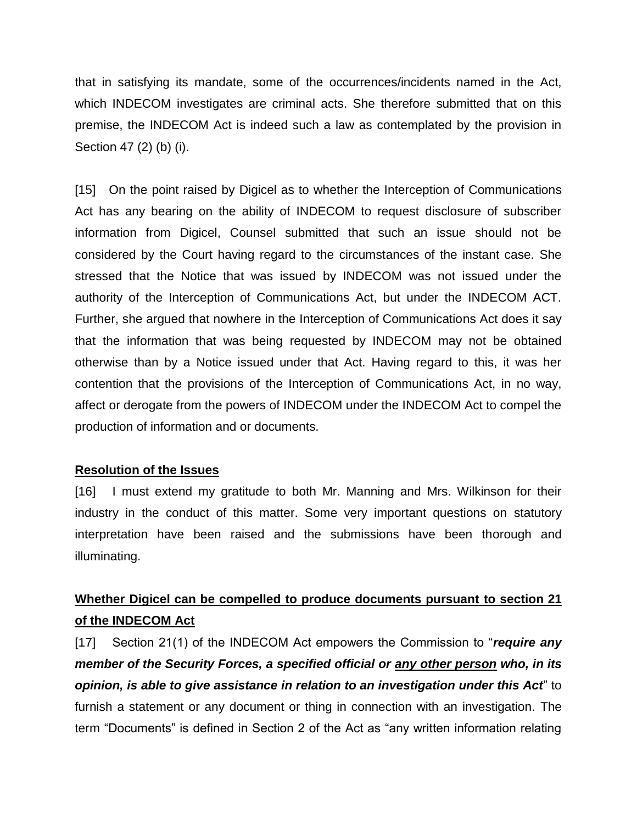that in satisfying its mandate, some of the occurrences/incidents named in the Act, which INDECOM investigates are criminal acts. She therefore submitted that on this premise, the INDECOM Act is indeed such a law as contemplated by the provision in Section 47 (2) (b) (i).

[15] On the point raised by Digicel as to whether the Interception of Communications Act has any bearing on the ability of INDECOM to request disclosure of subscriber information from Digicel, Counsel submitted that such an issue should not be considered by the Court having regard to the circumstances of the instant case. She stressed that the Notice that was issued by INDECOM was not issued under the authority of the Interception of Communications Act, but under the INDECOM ACT. Further, she argued that nowhere in the Interception of Communications Act does it say that the information that was being requested by INDECOM may not be obtained otherwise than by a Notice issued under that Act. Having regard to this, it was her contention that the provisions of the Interception of Communications Act, in no way, affect or derogate from the powers of INDECOM under the INDECOM Act to compel the production of information and or documents.

## **Resolution of the Issues**

[16] I must extend my gratitude to both Mr. Manning and Mrs. Wilkinson for their industry in the conduct of this matter. Some very important questions on statutory interpretation have been raised and the submissions have been thorough and illuminating.

# **Whether Digicel can be compelled to produce documents pursuant to section 21 of the INDECOM Act**

[17] Section 21(1) of the INDECOM Act empowers the Commission to "*require any member of the Security Forces, a specified official or any other person who, in its opinion, is able to give assistance in relation to an investigation under this Act*" to furnish a statement or any document or thing in connection with an investigation. The term "Documents" is defined in Section 2 of the Act as "any written information relating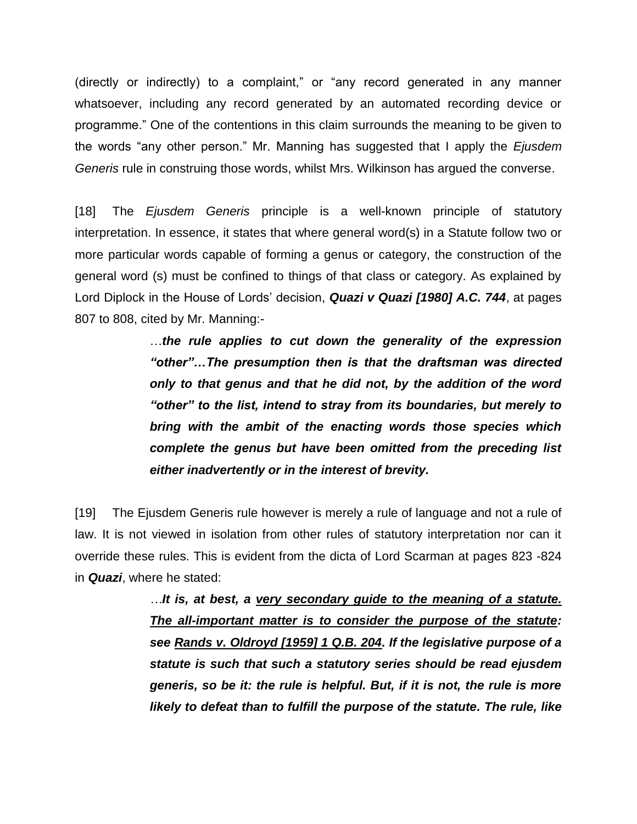(directly or indirectly) to a complaint," or "any record generated in any manner whatsoever, including any record generated by an automated recording device or programme." One of the contentions in this claim surrounds the meaning to be given to the words "any other person." Mr. Manning has suggested that I apply the *Ejusdem Generis* rule in construing those words, whilst Mrs. Wilkinson has argued the converse.

[18] The *Ejusdem Generis* principle is a well-known principle of statutory interpretation. In essence, it states that where general word(s) in a Statute follow two or more particular words capable of forming a genus or category, the construction of the general word (s) must be confined to things of that class or category. As explained by Lord Diplock in the House of Lords' decision, *Quazi v Quazi [1980] A.C. 744*, at pages 807 to 808, cited by Mr. Manning:-

> …*the rule applies to cut down the generality of the expression "other"…The presumption then is that the draftsman was directed only to that genus and that he did not, by the addition of the word "other" to the list, intend to stray from its boundaries, but merely to bring with the ambit of the enacting words those species which complete the genus but have been omitted from the preceding list either inadvertently or in the interest of brevity.*

[19] The Ejusdem Generis rule however is merely a rule of language and not a rule of law. It is not viewed in isolation from other rules of statutory interpretation nor can it override these rules. This is evident from the dicta of Lord Scarman at pages 823 -824 in *Quazi*, where he stated:

> *…It is, at best, a very secondary guide to the meaning of a statute. The all-important matter is to consider the purpose of the statute: see Rands v. Oldroyd [1959] 1 Q.B. 204. If the legislative purpose of a statute is such that such a statutory series should be read ejusdem generis, so be it: the rule is helpful. But, if it is not, the rule is more likely to defeat than to fulfill the purpose of the statute. The rule, like*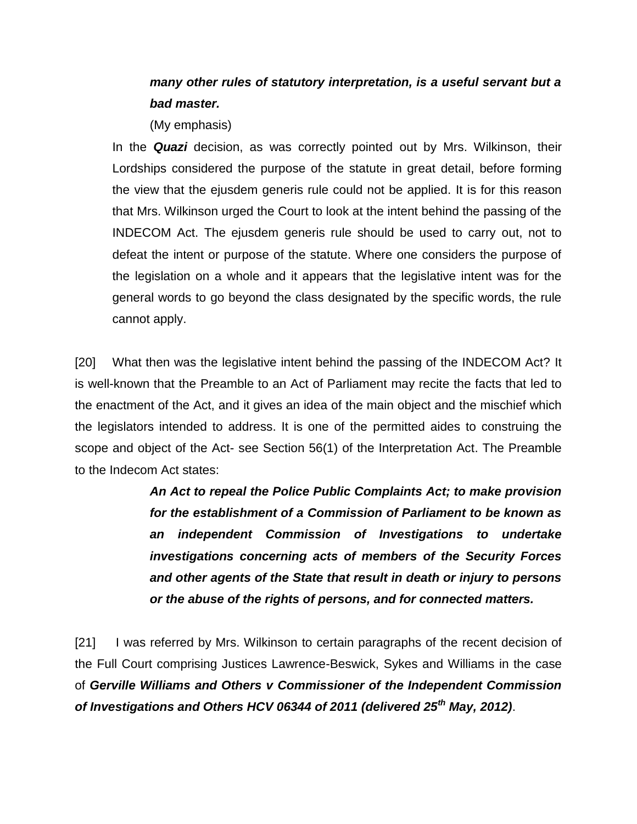# *many other rules of statutory interpretation, is a useful servant but a bad master.*

(My emphasis)

In the *Quazi* decision, as was correctly pointed out by Mrs. Wilkinson, their Lordships considered the purpose of the statute in great detail, before forming the view that the ejusdem generis rule could not be applied. It is for this reason that Mrs. Wilkinson urged the Court to look at the intent behind the passing of the INDECOM Act. The ejusdem generis rule should be used to carry out, not to defeat the intent or purpose of the statute. Where one considers the purpose of the legislation on a whole and it appears that the legislative intent was for the general words to go beyond the class designated by the specific words, the rule cannot apply.

[20] What then was the legislative intent behind the passing of the INDECOM Act? It is well-known that the Preamble to an Act of Parliament may recite the facts that led to the enactment of the Act, and it gives an idea of the main object and the mischief which the legislators intended to address. It is one of the permitted aides to construing the scope and object of the Act- see Section 56(1) of the Interpretation Act. The Preamble to the Indecom Act states:

> *An Act to repeal the Police Public Complaints Act; to make provision for the establishment of a Commission of Parliament to be known as an independent Commission of Investigations to undertake investigations concerning acts of members of the Security Forces and other agents of the State that result in death or injury to persons or the abuse of the rights of persons, and for connected matters.*

[21] I was referred by Mrs. Wilkinson to certain paragraphs of the recent decision of the Full Court comprising Justices Lawrence-Beswick, Sykes and Williams in the case of *Gerville Williams and Others v Commissioner of the Independent Commission of Investigations and Others HCV 06344 of 2011 (delivered 25th May, 2012)*.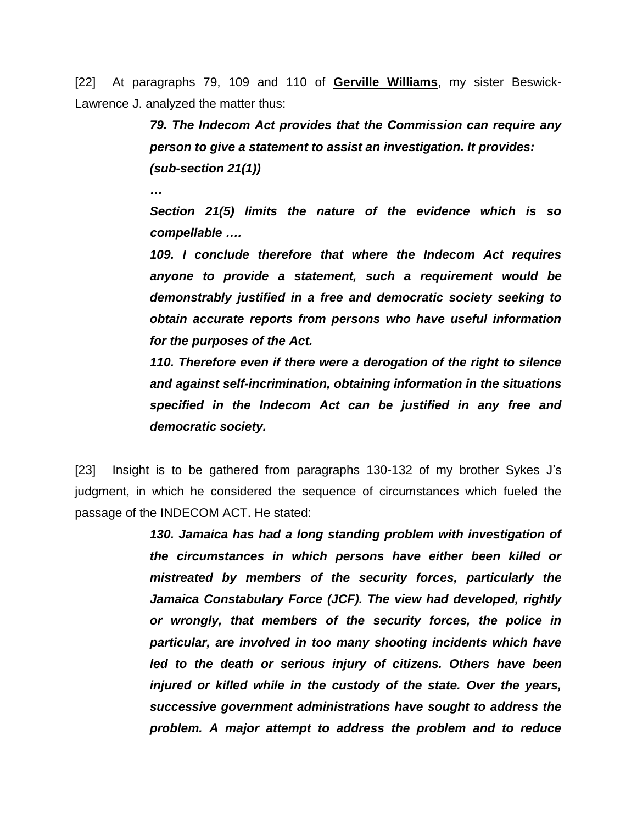[22] At paragraphs 79, 109 and 110 of **Gerville Williams**, my sister Beswick-Lawrence J. analyzed the matter thus:

> *79. The Indecom Act provides that the Commission can require any person to give a statement to assist an investigation. It provides: (sub-section 21(1))*

*…*

*Section 21(5) limits the nature of the evidence which is so compellable ….*

*109. I conclude therefore that where the Indecom Act requires anyone to provide a statement, such a requirement would be demonstrably justified in a free and democratic society seeking to obtain accurate reports from persons who have useful information for the purposes of the Act.*

*110. Therefore even if there were a derogation of the right to silence and against self-incrimination, obtaining information in the situations specified in the Indecom Act can be justified in any free and democratic society.*

[23] Insight is to be gathered from paragraphs 130-132 of my brother Sykes J's judgment, in which he considered the sequence of circumstances which fueled the passage of the INDECOM ACT. He stated:

> *130. Jamaica has had a long standing problem with investigation of the circumstances in which persons have either been killed or mistreated by members of the security forces, particularly the Jamaica Constabulary Force (JCF). The view had developed, rightly or wrongly, that members of the security forces, the police in particular, are involved in too many shooting incidents which have led to the death or serious injury of citizens. Others have been injured or killed while in the custody of the state. Over the years, successive government administrations have sought to address the problem. A major attempt to address the problem and to reduce*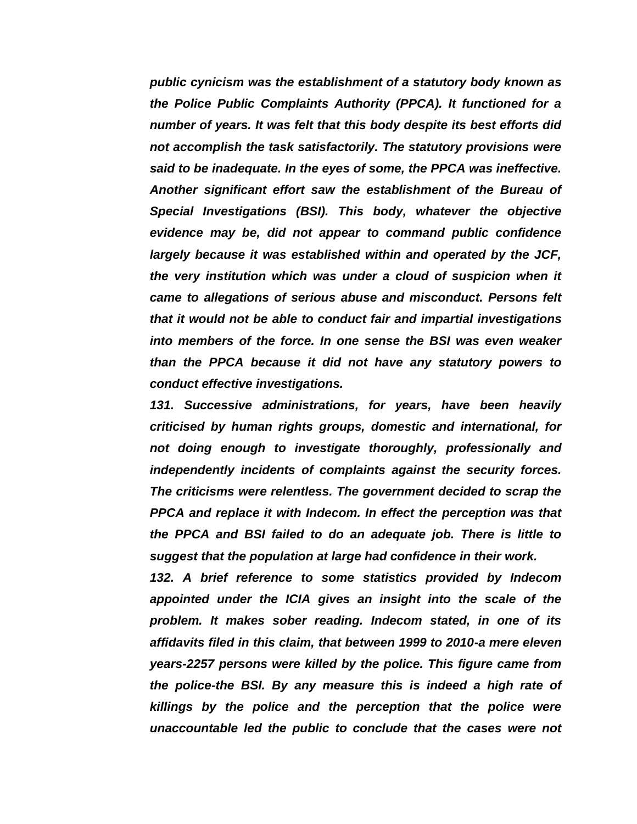*public cynicism was the establishment of a statutory body known as the Police Public Complaints Authority (PPCA). It functioned for a number of years. It was felt that this body despite its best efforts did not accomplish the task satisfactorily. The statutory provisions were said to be inadequate. In the eyes of some, the PPCA was ineffective. Another significant effort saw the establishment of the Bureau of Special Investigations (BSI). This body, whatever the objective evidence may be, did not appear to command public confidence largely because it was established within and operated by the JCF, the very institution which was under a cloud of suspicion when it came to allegations of serious abuse and misconduct. Persons felt that it would not be able to conduct fair and impartial investigations into members of the force. In one sense the BSI was even weaker than the PPCA because it did not have any statutory powers to conduct effective investigations.*

*131. Successive administrations, for years, have been heavily criticised by human rights groups, domestic and international, for not doing enough to investigate thoroughly, professionally and independently incidents of complaints against the security forces. The criticisms were relentless. The government decided to scrap the PPCA and replace it with Indecom. In effect the perception was that the PPCA and BSI failed to do an adequate job. There is little to suggest that the population at large had confidence in their work.*

*132. A brief reference to some statistics provided by Indecom appointed under the ICIA gives an insight into the scale of the problem. It makes sober reading. Indecom stated, in one of its affidavits filed in this claim, that between 1999 to 2010-a mere eleven years-2257 persons were killed by the police. This figure came from the police-the BSI. By any measure this is indeed a high rate of killings by the police and the perception that the police were unaccountable led the public to conclude that the cases were not*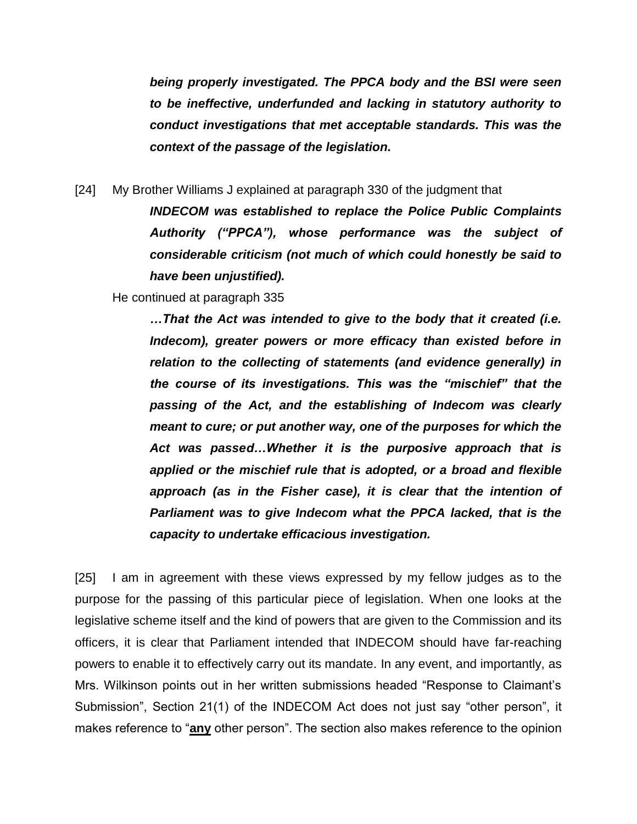*being properly investigated. The PPCA body and the BSI were seen to be ineffective, underfunded and lacking in statutory authority to conduct investigations that met acceptable standards. This was the context of the passage of the legislation.*

[24] My Brother Williams J explained at paragraph 330 of the judgment that

*INDECOM was established to replace the Police Public Complaints Authority ("PPCA"), whose performance was the subject of considerable criticism (not much of which could honestly be said to have been unjustified).*

He continued at paragraph 335

*…That the Act was intended to give to the body that it created (i.e. Indecom), greater powers or more efficacy than existed before in relation to the collecting of statements (and evidence generally) in the course of its investigations. This was the "mischief" that the passing of the Act, and the establishing of Indecom was clearly meant to cure; or put another way, one of the purposes for which the Act was passed…Whether it is the purposive approach that is applied or the mischief rule that is adopted, or a broad and flexible approach (as in the Fisher case), it is clear that the intention of Parliament was to give Indecom what the PPCA lacked, that is the capacity to undertake efficacious investigation.*

[25] I am in agreement with these views expressed by my fellow judges as to the purpose for the passing of this particular piece of legislation. When one looks at the legislative scheme itself and the kind of powers that are given to the Commission and its officers, it is clear that Parliament intended that INDECOM should have far-reaching powers to enable it to effectively carry out its mandate. In any event, and importantly, as Mrs. Wilkinson points out in her written submissions headed "Response to Claimant's Submission", Section 21(1) of the INDECOM Act does not just say "other person", it makes reference to "**any** other person". The section also makes reference to the opinion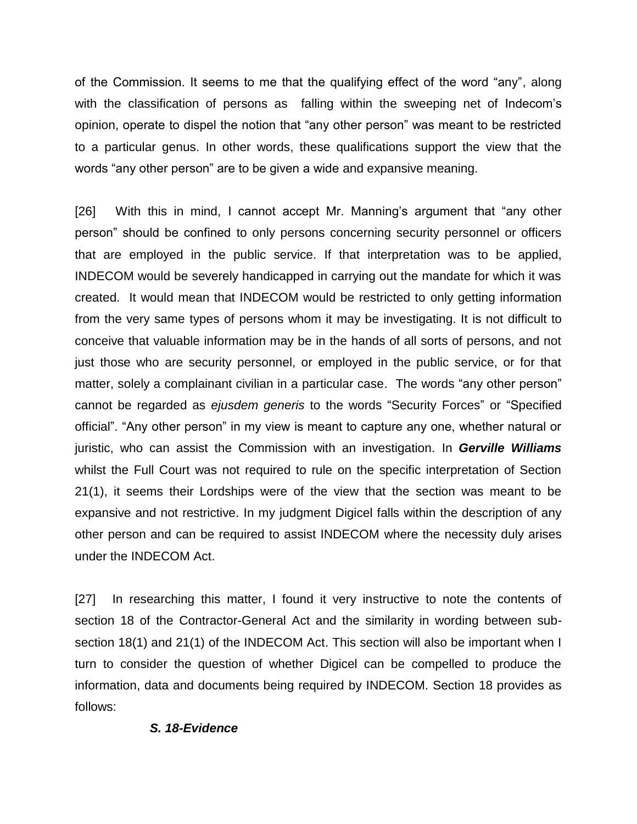of the Commission. It seems to me that the qualifying effect of the word "any", along with the classification of persons as falling within the sweeping net of Indecom's opinion, operate to dispel the notion that "any other person" was meant to be restricted to a particular genus. In other words, these qualifications support the view that the words "any other person" are to be given a wide and expansive meaning.

[26] With this in mind, I cannot accept Mr. Manning's argument that "any other person" should be confined to only persons concerning security personnel or officers that are employed in the public service. If that interpretation was to be applied, INDECOM would be severely handicapped in carrying out the mandate for which it was created. It would mean that INDECOM would be restricted to only getting information from the very same types of persons whom it may be investigating. It is not difficult to conceive that valuable information may be in the hands of all sorts of persons, and not just those who are security personnel, or employed in the public service, or for that matter, solely a complainant civilian in a particular case. The words "any other person" cannot be regarded as *ejusdem generis* to the words "Security Forces" or "Specified official". "Any other person" in my view is meant to capture any one, whether natural or juristic, who can assist the Commission with an investigation. In *Gerville Williams* whilst the Full Court was not required to rule on the specific interpretation of Section 21(1), it seems their Lordships were of the view that the section was meant to be expansive and not restrictive. In my judgment Digicel falls within the description of any other person and can be required to assist INDECOM where the necessity duly arises under the INDECOM Act.

[27] In researching this matter, I found it very instructive to note the contents of section 18 of the Contractor-General Act and the similarity in wording between subsection 18(1) and 21(1) of the INDECOM Act. This section will also be important when I turn to consider the question of whether Digicel can be compelled to produce the information, data and documents being required by INDECOM. Section 18 provides as follows:

## *S. 18-Evidence*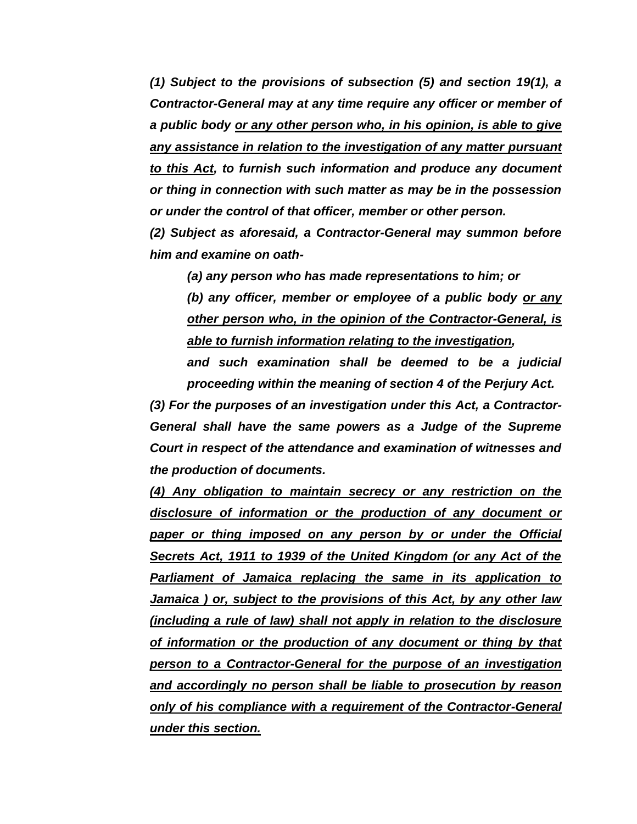*(1) Subject to the provisions of subsection (5) and section 19(1), a Contractor-General may at any time require any officer or member of a public body or any other person who, in his opinion, is able to give any assistance in relation to the investigation of any matter pursuant to this Act, to furnish such information and produce any document or thing in connection with such matter as may be in the possession or under the control of that officer, member or other person.*

*(2) Subject as aforesaid, a Contractor-General may summon before him and examine on oath-*

*(a) any person who has made representations to him; or*

*(b) any officer, member or employee of a public body or any other person who, in the opinion of the Contractor-General, is able to furnish information relating to the investigation,* 

*and such examination shall be deemed to be a judicial proceeding within the meaning of section 4 of the Perjury Act.*

*(3) For the purposes of an investigation under this Act, a Contractor-General shall have the same powers as a Judge of the Supreme Court in respect of the attendance and examination of witnesses and the production of documents.*

*(4) Any obligation to maintain secrecy or any restriction on the disclosure of information or the production of any document or paper or thing imposed on any person by or under the Official Secrets Act, 1911 to 1939 of the United Kingdom (or any Act of the Parliament of Jamaica replacing the same in its application to Jamaica ) or, subject to the provisions of this Act, by any other law (including a rule of law) shall not apply in relation to the disclosure of information or the production of any document or thing by that person to a Contractor-General for the purpose of an investigation and accordingly no person shall be liable to prosecution by reason only of his compliance with a requirement of the Contractor-General under this section.*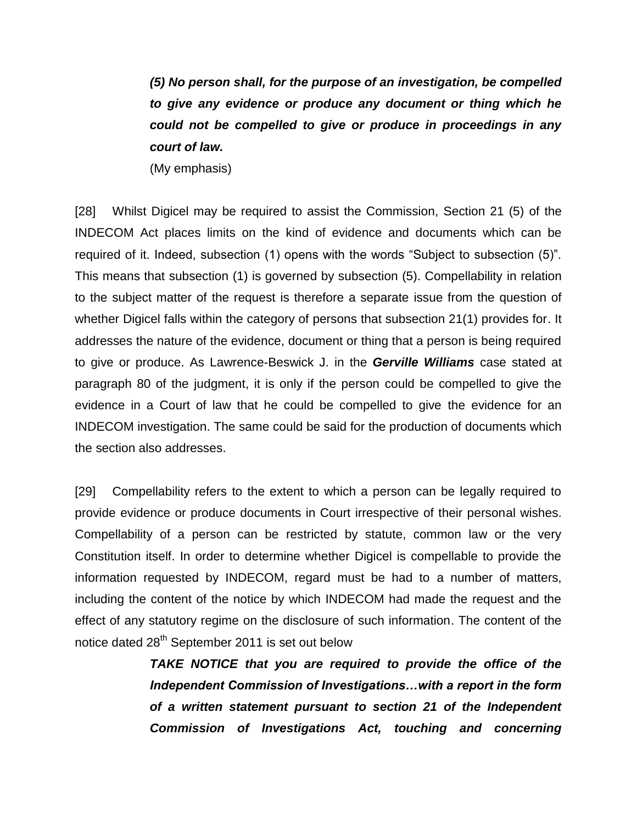*(5) No person shall, for the purpose of an investigation, be compelled to give any evidence or produce any document or thing which he could not be compelled to give or produce in proceedings in any court of law.*

(My emphasis)

[28] Whilst Digicel may be required to assist the Commission, Section 21 (5) of the INDECOM Act places limits on the kind of evidence and documents which can be required of it. Indeed, subsection (1) opens with the words "Subject to subsection (5)". This means that subsection (1) is governed by subsection (5). Compellability in relation to the subject matter of the request is therefore a separate issue from the question of whether Digicel falls within the category of persons that subsection 21(1) provides for. It addresses the nature of the evidence, document or thing that a person is being required to give or produce. As Lawrence-Beswick J. in the *Gerville Williams* case stated at paragraph 80 of the judgment, it is only if the person could be compelled to give the evidence in a Court of law that he could be compelled to give the evidence for an INDECOM investigation. The same could be said for the production of documents which the section also addresses.

[29] Compellability refers to the extent to which a person can be legally required to provide evidence or produce documents in Court irrespective of their personal wishes. Compellability of a person can be restricted by statute, common law or the very Constitution itself. In order to determine whether Digicel is compellable to provide the information requested by INDECOM, regard must be had to a number of matters, including the content of the notice by which INDECOM had made the request and the effect of any statutory regime on the disclosure of such information. The content of the notice dated 28<sup>th</sup> September 2011 is set out below

> *TAKE NOTICE that you are required to provide the office of the Independent Commission of Investigations…with a report in the form of a written statement pursuant to section 21 of the Independent Commission of Investigations Act, touching and concerning*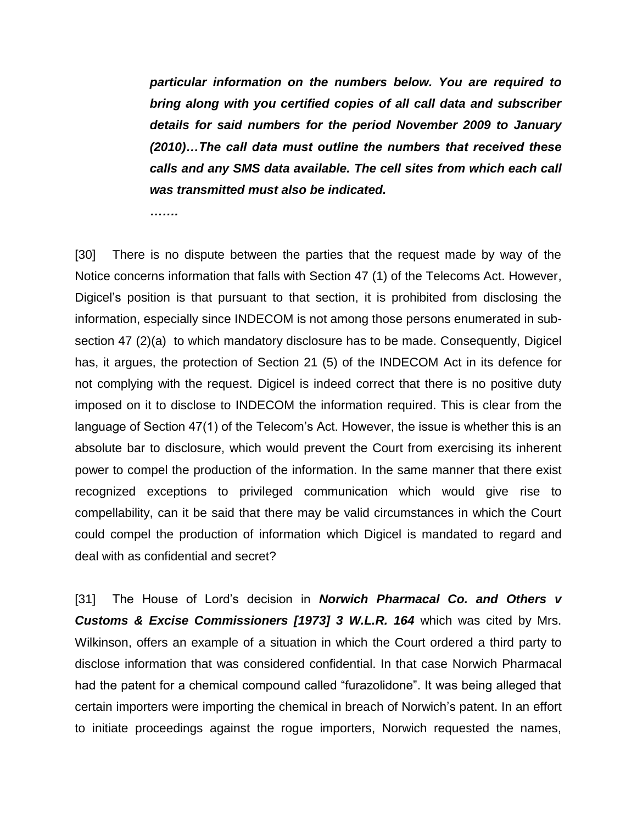*particular information on the numbers below. You are required to bring along with you certified copies of all call data and subscriber details for said numbers for the period November 2009 to January (2010)…The call data must outline the numbers that received these calls and any SMS data available. The cell sites from which each call was transmitted must also be indicated.*

*…….*

[30] There is no dispute between the parties that the request made by way of the Notice concerns information that falls with Section 47 (1) of the Telecoms Act. However, Digicel's position is that pursuant to that section, it is prohibited from disclosing the information, especially since INDECOM is not among those persons enumerated in subsection 47 (2)(a) to which mandatory disclosure has to be made. Consequently, Digicel has, it argues, the protection of Section 21 (5) of the INDECOM Act in its defence for not complying with the request. Digicel is indeed correct that there is no positive duty imposed on it to disclose to INDECOM the information required. This is clear from the language of Section 47(1) of the Telecom's Act. However, the issue is whether this is an absolute bar to disclosure, which would prevent the Court from exercising its inherent power to compel the production of the information. In the same manner that there exist recognized exceptions to privileged communication which would give rise to compellability, can it be said that there may be valid circumstances in which the Court could compel the production of information which Digicel is mandated to regard and deal with as confidential and secret?

[31] The House of Lord's decision in *Norwich Pharmacal Co. and Others v Customs & Excise Commissioners [1973] 3 W.L.R. 164* which was cited by Mrs. Wilkinson, offers an example of a situation in which the Court ordered a third party to disclose information that was considered confidential. In that case Norwich Pharmacal had the patent for a chemical compound called "furazolidone". It was being alleged that certain importers were importing the chemical in breach of Norwich's patent. In an effort to initiate proceedings against the rogue importers, Norwich requested the names,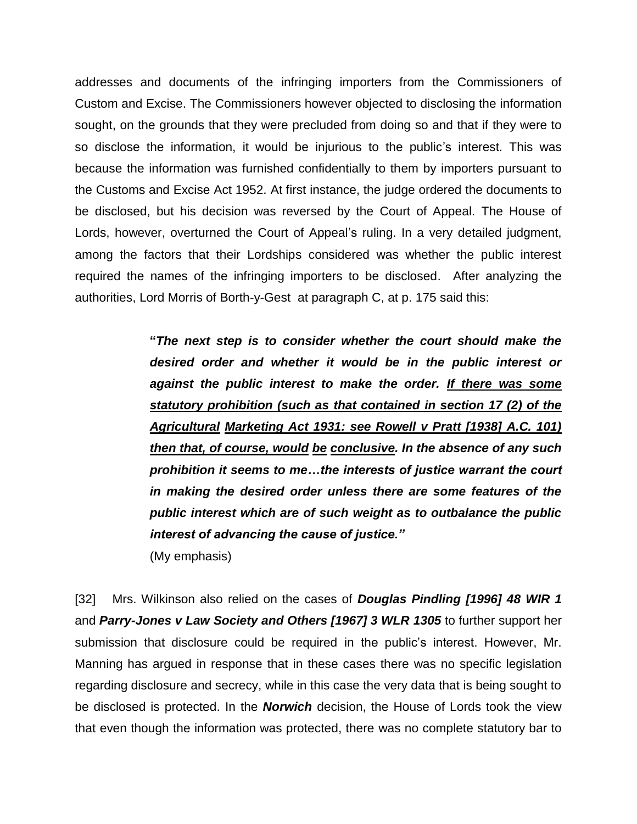addresses and documents of the infringing importers from the Commissioners of Custom and Excise. The Commissioners however objected to disclosing the information sought, on the grounds that they were precluded from doing so and that if they were to so disclose the information, it would be injurious to the public's interest. This was because the information was furnished confidentially to them by importers pursuant to the Customs and Excise Act 1952. At first instance, the judge ordered the documents to be disclosed, but his decision was reversed by the Court of Appeal. The House of Lords, however, overturned the Court of Appeal's ruling. In a very detailed judgment, among the factors that their Lordships considered was whether the public interest required the names of the infringing importers to be disclosed. After analyzing the authorities, Lord Morris of Borth-y-Gest at paragraph C, at p. 175 said this:

> **"***The next step is to consider whether the court should make the desired order and whether it would be in the public interest or against the public interest to make the order. If there was some statutory prohibition (such as that contained in section 17 (2) of the Agricultural Marketing Act 1931: see Rowell v Pratt [1938] A.C. 101) then that, of course, would be conclusive. In the absence of any such prohibition it seems to me…the interests of justice warrant the court in making the desired order unless there are some features of the public interest which are of such weight as to outbalance the public interest of advancing the cause of justice."* (My emphasis)

[32] Mrs. Wilkinson also relied on the cases of *Douglas Pindling [1996] 48 WIR 1* and *Parry-Jones v Law Society and Others [1967] 3 WLR 1305* to further support her submission that disclosure could be required in the public's interest. However, Mr. Manning has argued in response that in these cases there was no specific legislation regarding disclosure and secrecy, while in this case the very data that is being sought to be disclosed is protected. In the *Norwich* decision, the House of Lords took the view that even though the information was protected, there was no complete statutory bar to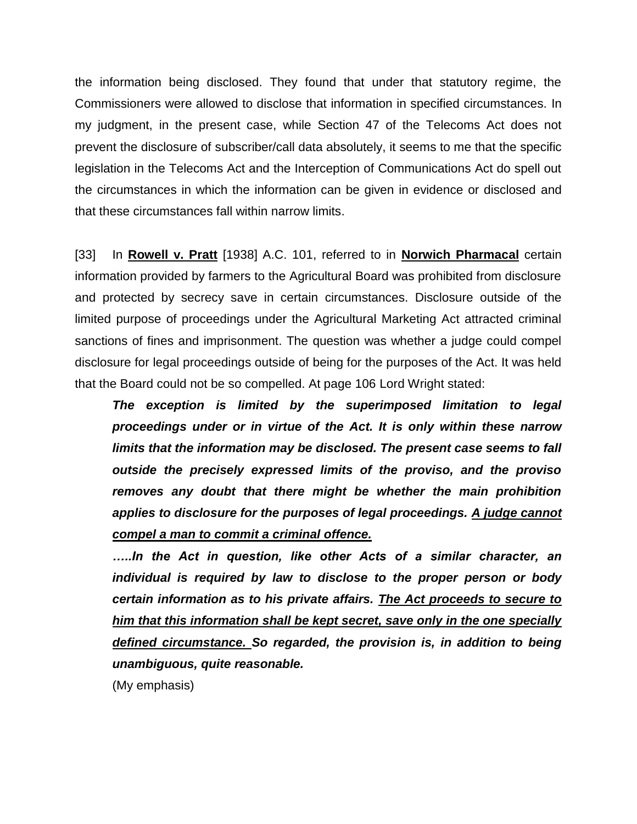the information being disclosed. They found that under that statutory regime, the Commissioners were allowed to disclose that information in specified circumstances. In my judgment, in the present case, while Section 47 of the Telecoms Act does not prevent the disclosure of subscriber/call data absolutely, it seems to me that the specific legislation in the Telecoms Act and the Interception of Communications Act do spell out the circumstances in which the information can be given in evidence or disclosed and that these circumstances fall within narrow limits.

[33] In **Rowell v. Pratt** [1938] A.C. 101, referred to in **Norwich Pharmacal** certain information provided by farmers to the Agricultural Board was prohibited from disclosure and protected by secrecy save in certain circumstances. Disclosure outside of the limited purpose of proceedings under the Agricultural Marketing Act attracted criminal sanctions of fines and imprisonment. The question was whether a judge could compel disclosure for legal proceedings outside of being for the purposes of the Act. It was held that the Board could not be so compelled. At page 106 Lord Wright stated:

*The exception is limited by the superimposed limitation to legal proceedings under or in virtue of the Act. It is only within these narrow limits that the information may be disclosed. The present case seems to fall outside the precisely expressed limits of the proviso, and the proviso removes any doubt that there might be whether the main prohibition applies to disclosure for the purposes of legal proceedings. A judge cannot compel a man to commit a criminal offence.* 

*…..In the Act in question, like other Acts of a similar character, an individual is required by law to disclose to the proper person or body certain information as to his private affairs. The Act proceeds to secure to him that this information shall be kept secret, save only in the one specially defined circumstance. So regarded, the provision is, in addition to being unambiguous, quite reasonable.* 

(My emphasis)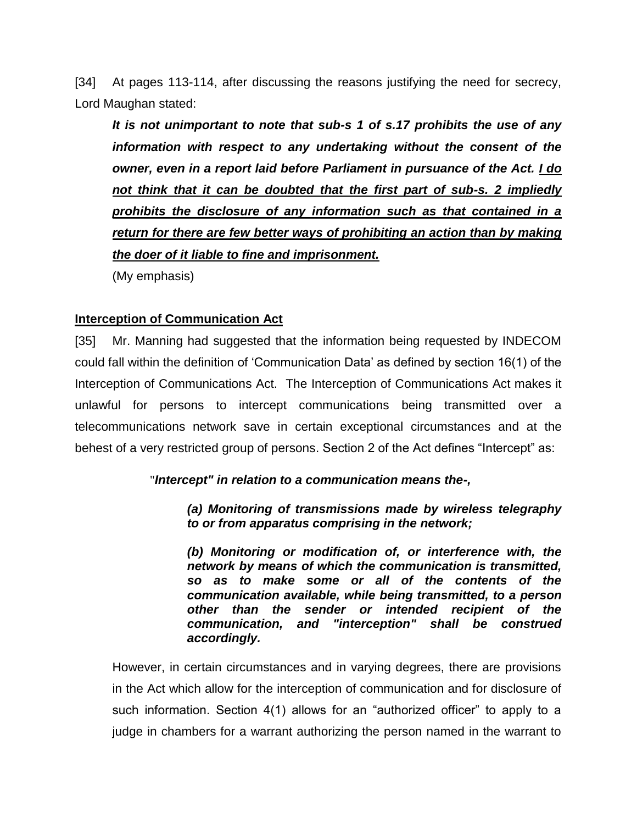[34] At pages 113-114, after discussing the reasons justifying the need for secrecy, Lord Maughan stated:

*It is not unimportant to note that sub-s 1 of s.17 prohibits the use of any information with respect to any undertaking without the consent of the owner, even in a report laid before Parliament in pursuance of the Act. I do not think that it can be doubted that the first part of sub-s. 2 impliedly prohibits the disclosure of any information such as that contained in a return for there are few better ways of prohibiting an action than by making the doer of it liable to fine and imprisonment.*

(My emphasis)

## **Interception of Communication Act**

[35] Mr. Manning had suggested that the information being requested by INDECOM could fall within the definition of 'Communication Data' as defined by section 16(1) of the Interception of Communications Act. The Interception of Communications Act makes it unlawful for persons to intercept communications being transmitted over a telecommunications network save in certain exceptional circumstances and at the behest of a very restricted group of persons. Section 2 of the Act defines "Intercept" as:

## "*Intercept" in relation to a communication means the-,*

*(a) Monitoring of transmissions made by wireless telegraphy to or from apparatus comprising in the network;*

*(b) Monitoring or modification of, or interference with, the network by means of which the communication is transmitted, so as to make some or all of the contents of the communication available, while being transmitted, to a person other than the sender or intended recipient of the communication, and "interception" shall be construed accordingly.*

However, in certain circumstances and in varying degrees, there are provisions in the Act which allow for the interception of communication and for disclosure of such information. Section 4(1) allows for an "authorized officer" to apply to a judge in chambers for a warrant authorizing the person named in the warrant to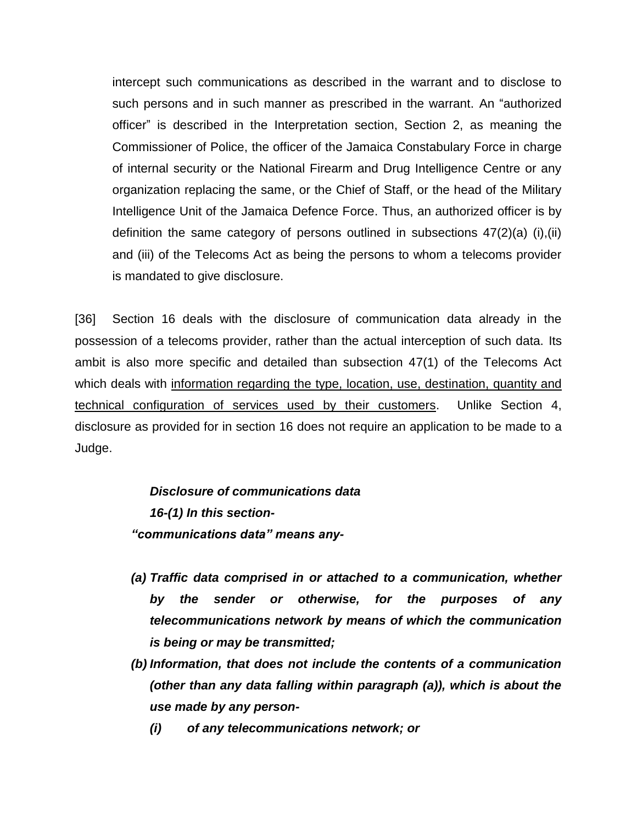intercept such communications as described in the warrant and to disclose to such persons and in such manner as prescribed in the warrant. An "authorized officer" is described in the Interpretation section, Section 2, as meaning the Commissioner of Police, the officer of the Jamaica Constabulary Force in charge of internal security or the National Firearm and Drug Intelligence Centre or any organization replacing the same, or the Chief of Staff, or the head of the Military Intelligence Unit of the Jamaica Defence Force. Thus, an authorized officer is by definition the same category of persons outlined in subsections 47(2)(a) (i),(ii) and (iii) of the Telecoms Act as being the persons to whom a telecoms provider is mandated to give disclosure.

[36] Section 16 deals with the disclosure of communication data already in the possession of a telecoms provider, rather than the actual interception of such data. Its ambit is also more specific and detailed than subsection 47(1) of the Telecoms Act which deals with information regarding the type, location, use, destination, quantity and technical configuration of services used by their customers. Unlike Section 4, disclosure as provided for in section 16 does not require an application to be made to a Judge.

> *Disclosure of communications data 16-(1) In this section- "communications data" means any-*

- *(a) Traffic data comprised in or attached to a communication, whether by the sender or otherwise, for the purposes of any telecommunications network by means of which the communication is being or may be transmitted;*
- *(b) Information, that does not include the contents of a communication (other than any data falling within paragraph (a)), which is about the use made by any person-*
	- *(i) of any telecommunications network; or*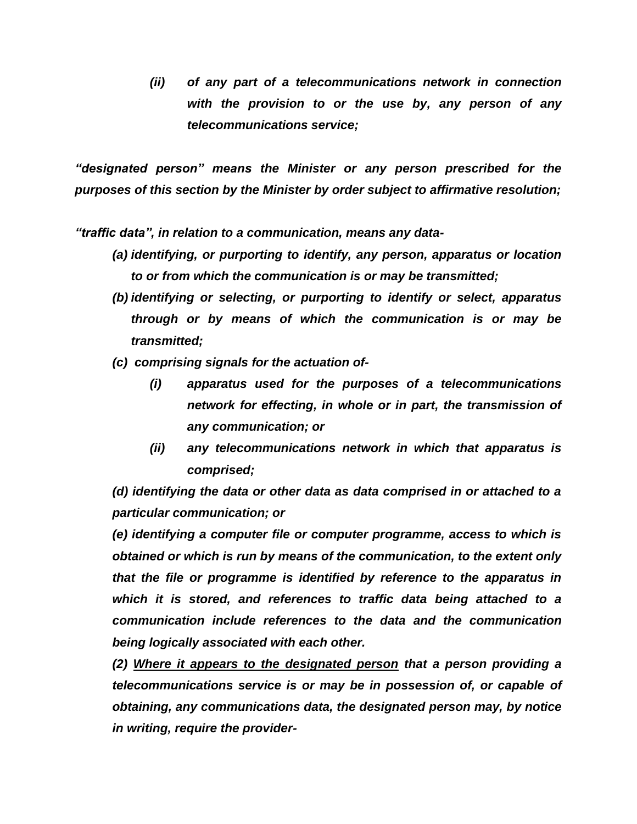*(ii) of any part of a telecommunications network in connection with the provision to or the use by, any person of any telecommunications service;*

*"designated person" means the Minister or any person prescribed for the purposes of this section by the Minister by order subject to affirmative resolution;*

*"traffic data", in relation to a communication, means any data-*

- *(a) identifying, or purporting to identify, any person, apparatus or location to or from which the communication is or may be transmitted;*
- *(b) identifying or selecting, or purporting to identify or select, apparatus through or by means of which the communication is or may be transmitted;*
- *(c) comprising signals for the actuation of-*
	- *(i) apparatus used for the purposes of a telecommunications network for effecting, in whole or in part, the transmission of any communication; or*
	- *(ii) any telecommunications network in which that apparatus is comprised;*

*(d) identifying the data or other data as data comprised in or attached to a particular communication; or* 

*(e) identifying a computer file or computer programme, access to which is obtained or which is run by means of the communication, to the extent only that the file or programme is identified by reference to the apparatus in which it is stored, and references to traffic data being attached to a communication include references to the data and the communication being logically associated with each other.*

*(2) Where it appears to the designated person that a person providing a telecommunications service is or may be in possession of, or capable of obtaining, any communications data, the designated person may, by notice in writing, require the provider-*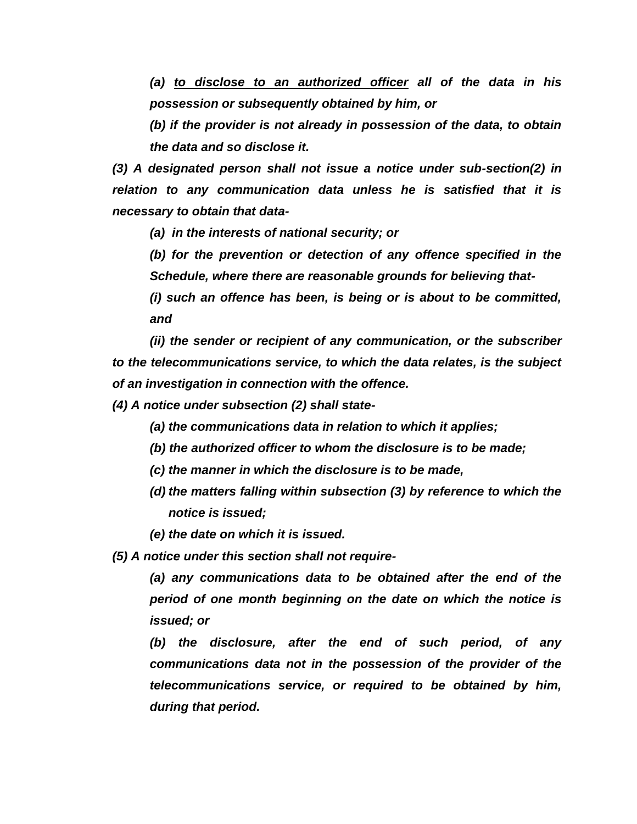*(a) to disclose to an authorized officer all of the data in his possession or subsequently obtained by him, or*

*(b) if the provider is not already in possession of the data, to obtain the data and so disclose it.*

*(3) A designated person shall not issue a notice under sub-section(2) in relation to any communication data unless he is satisfied that it is necessary to obtain that data-*

*(a) in the interests of national security; or*

*(b) for the prevention or detection of any offence specified in the Schedule, where there are reasonable grounds for believing that-*

*(i) such an offence has been, is being or is about to be committed, and*

*(ii) the sender or recipient of any communication, or the subscriber to the telecommunications service, to which the data relates, is the subject of an investigation in connection with the offence.*

*(4) A notice under subsection (2) shall state-*

*(a) the communications data in relation to which it applies;*

- *(b) the authorized officer to whom the disclosure is to be made;*
- *(c) the manner in which the disclosure is to be made,*
- *(d) the matters falling within subsection (3) by reference to which the notice is issued;*

*(e) the date on which it is issued.*

*(5) A notice under this section shall not require-*

*(a) any communications data to be obtained after the end of the period of one month beginning on the date on which the notice is issued; or*

*(b) the disclosure, after the end of such period, of any communications data not in the possession of the provider of the telecommunications service, or required to be obtained by him, during that period.*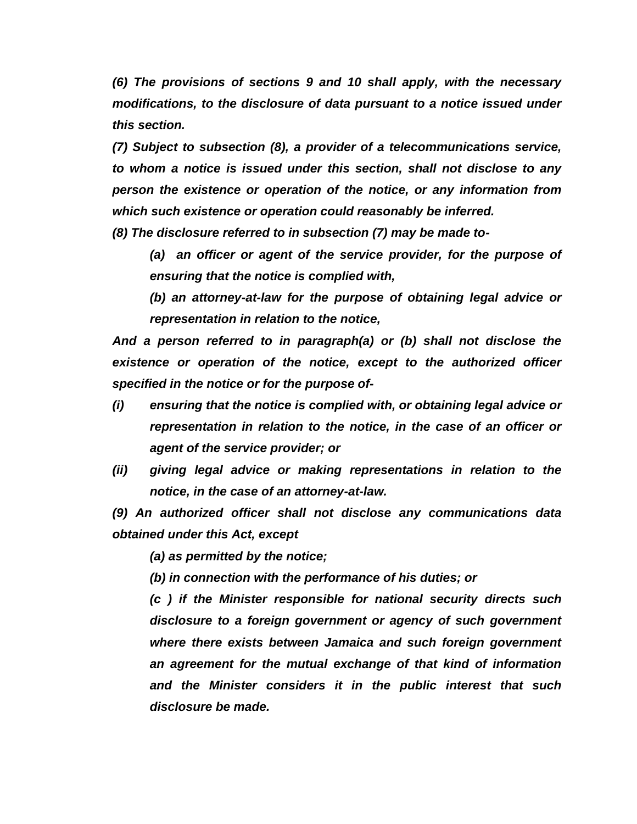*(6) The provisions of sections 9 and 10 shall apply, with the necessary modifications, to the disclosure of data pursuant to a notice issued under this section.*

*(7) Subject to subsection (8), a provider of a telecommunications service, to whom a notice is issued under this section, shall not disclose to any person the existence or operation of the notice, or any information from which such existence or operation could reasonably be inferred.*

*(8) The disclosure referred to in subsection (7) may be made to-*

*(a) an officer or agent of the service provider, for the purpose of ensuring that the notice is complied with,* 

*(b) an attorney-at-law for the purpose of obtaining legal advice or representation in relation to the notice,*

*And a person referred to in paragraph(a) or (b) shall not disclose the existence or operation of the notice, except to the authorized officer specified in the notice or for the purpose of-*

- *(i) ensuring that the notice is complied with, or obtaining legal advice or representation in relation to the notice, in the case of an officer or agent of the service provider; or*
- *(ii) giving legal advice or making representations in relation to the notice, in the case of an attorney-at-law.*

*(9) An authorized officer shall not disclose any communications data obtained under this Act, except* 

*(a) as permitted by the notice;*

*(b) in connection with the performance of his duties; or*

*(c ) if the Minister responsible for national security directs such disclosure to a foreign government or agency of such government where there exists between Jamaica and such foreign government an agreement for the mutual exchange of that kind of information and the Minister considers it in the public interest that such disclosure be made.*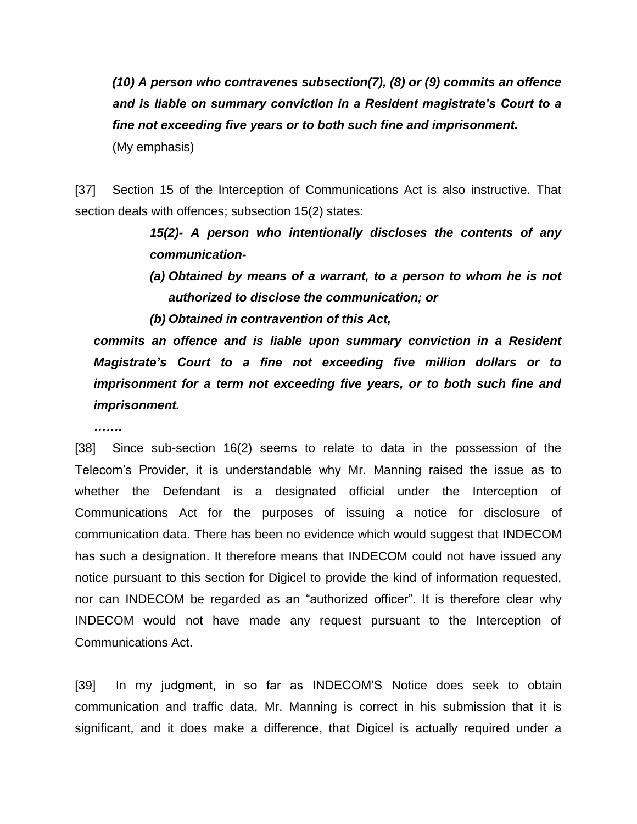*(10) A person who contravenes subsection(7), (8) or (9) commits an offence and is liable on summary conviction in a Resident magistrate's Court to a fine not exceeding five years or to both such fine and imprisonment.* (My emphasis)

[37] Section 15 of the Interception of Communications Act is also instructive. That section deals with offences; subsection 15(2) states:

> *15(2)- A person who intentionally discloses the contents of any communication-*

- *(a) Obtained by means of a warrant, to a person to whom he is not authorized to disclose the communication; or*
- *(b) Obtained in contravention of this Act,*

*commits an offence and is liable upon summary conviction in a Resident Magistrate's Court to a fine not exceeding five million dollars or to imprisonment for a term not exceeding five years, or to both such fine and imprisonment.*

*…….* 

[38] Since sub-section 16(2) seems to relate to data in the possession of the Telecom's Provider, it is understandable why Mr. Manning raised the issue as to whether the Defendant is a designated official under the Interception of Communications Act for the purposes of issuing a notice for disclosure of communication data. There has been no evidence which would suggest that INDECOM has such a designation. It therefore means that INDECOM could not have issued any notice pursuant to this section for Digicel to provide the kind of information requested, nor can INDECOM be regarded as an "authorized officer". It is therefore clear why INDECOM would not have made any request pursuant to the Interception of Communications Act.

[39] In my judgment, in so far as INDECOM'S Notice does seek to obtain communication and traffic data, Mr. Manning is correct in his submission that it is significant, and it does make a difference, that Digicel is actually required under a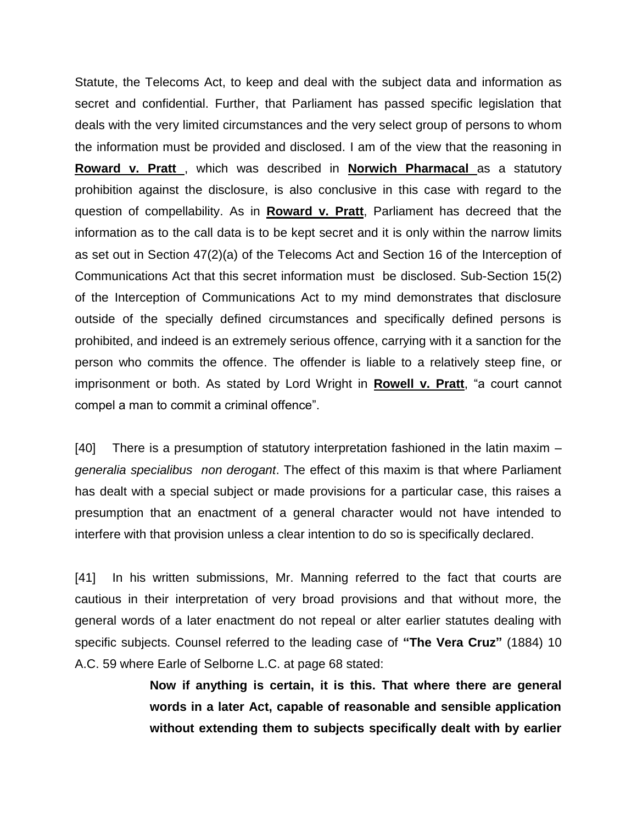Statute, the Telecoms Act, to keep and deal with the subject data and information as secret and confidential. Further, that Parliament has passed specific legislation that deals with the very limited circumstances and the very select group of persons to whom the information must be provided and disclosed. I am of the view that the reasoning in **Roward v. Pratt** , which was described in **Norwich Pharmacal** as a statutory prohibition against the disclosure, is also conclusive in this case with regard to the question of compellability. As in **Roward v. Pratt**, Parliament has decreed that the information as to the call data is to be kept secret and it is only within the narrow limits as set out in Section 47(2)(a) of the Telecoms Act and Section 16 of the Interception of Communications Act that this secret information must be disclosed. Sub-Section 15(2) of the Interception of Communications Act to my mind demonstrates that disclosure outside of the specially defined circumstances and specifically defined persons is prohibited, and indeed is an extremely serious offence, carrying with it a sanction for the person who commits the offence. The offender is liable to a relatively steep fine, or imprisonment or both. As stated by Lord Wright in **Rowell v. Pratt**, "a court cannot compel a man to commit a criminal offence".

[40] There is a presumption of statutory interpretation fashioned in the latin maxim – *generalia specialibus non derogant*. The effect of this maxim is that where Parliament has dealt with a special subject or made provisions for a particular case, this raises a presumption that an enactment of a general character would not have intended to interfere with that provision unless a clear intention to do so is specifically declared.

[41] In his written submissions, Mr. Manning referred to the fact that courts are cautious in their interpretation of very broad provisions and that without more, the general words of a later enactment do not repeal or alter earlier statutes dealing with specific subjects. Counsel referred to the leading case of **"The Vera Cruz"** (1884) 10 A.C. 59 where Earle of Selborne L.C. at page 68 stated:

> **Now if anything is certain, it is this. That where there are general words in a later Act, capable of reasonable and sensible application without extending them to subjects specifically dealt with by earlier**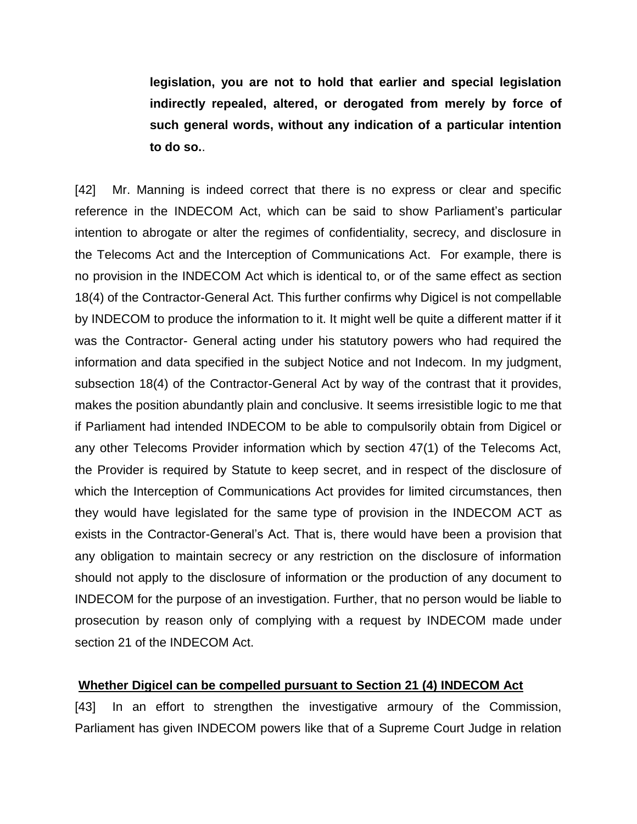**legislation, you are not to hold that earlier and special legislation indirectly repealed, altered, or derogated from merely by force of such general words, without any indication of a particular intention to do so.**.

[42] Mr. Manning is indeed correct that there is no express or clear and specific reference in the INDECOM Act, which can be said to show Parliament's particular intention to abrogate or alter the regimes of confidentiality, secrecy, and disclosure in the Telecoms Act and the Interception of Communications Act. For example, there is no provision in the INDECOM Act which is identical to, or of the same effect as section 18(4) of the Contractor-General Act. This further confirms why Digicel is not compellable by INDECOM to produce the information to it. It might well be quite a different matter if it was the Contractor- General acting under his statutory powers who had required the information and data specified in the subject Notice and not Indecom. In my judgment, subsection 18(4) of the Contractor-General Act by way of the contrast that it provides, makes the position abundantly plain and conclusive. It seems irresistible logic to me that if Parliament had intended INDECOM to be able to compulsorily obtain from Digicel or any other Telecoms Provider information which by section 47(1) of the Telecoms Act, the Provider is required by Statute to keep secret, and in respect of the disclosure of which the Interception of Communications Act provides for limited circumstances, then they would have legislated for the same type of provision in the INDECOM ACT as exists in the Contractor-General's Act. That is, there would have been a provision that any obligation to maintain secrecy or any restriction on the disclosure of information should not apply to the disclosure of information or the production of any document to INDECOM for the purpose of an investigation. Further, that no person would be liable to prosecution by reason only of complying with a request by INDECOM made under section 21 of the INDECOM Act.

#### **Whether Digicel can be compelled pursuant to Section 21 (4) INDECOM Act**

[43] In an effort to strengthen the investigative armoury of the Commission, Parliament has given INDECOM powers like that of a Supreme Court Judge in relation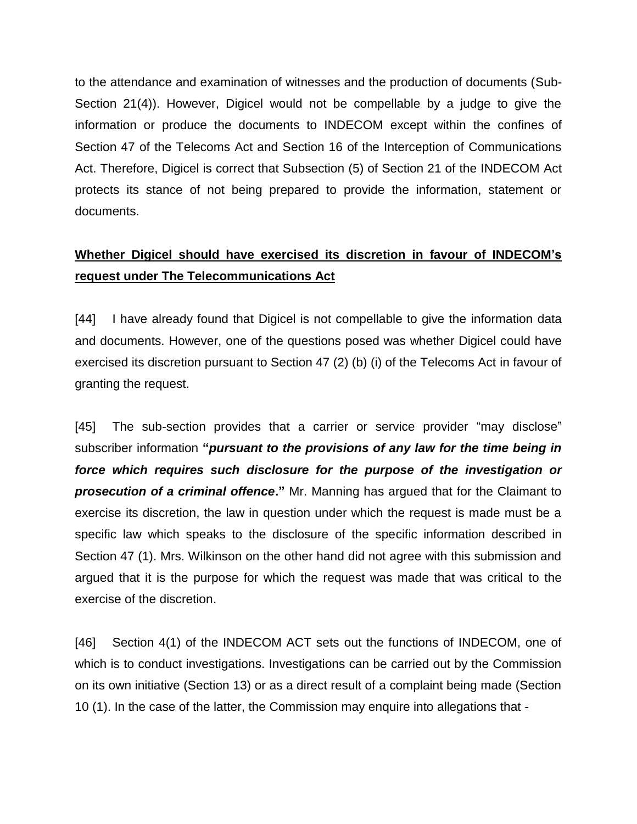to the attendance and examination of witnesses and the production of documents (Sub-Section 21(4)). However, Digicel would not be compellable by a judge to give the information or produce the documents to INDECOM except within the confines of Section 47 of the Telecoms Act and Section 16 of the Interception of Communications Act. Therefore, Digicel is correct that Subsection (5) of Section 21 of the INDECOM Act protects its stance of not being prepared to provide the information, statement or documents.

# **Whether Digicel should have exercised its discretion in favour of INDECOM's request under The Telecommunications Act**

[44] I have already found that Digicel is not compellable to give the information data and documents. However, one of the questions posed was whether Digicel could have exercised its discretion pursuant to Section 47 (2) (b) (i) of the Telecoms Act in favour of granting the request.

[45] The sub-section provides that a carrier or service provider "may disclose" subscriber information **"***pursuant to the provisions of any law for the time being in force which requires such disclosure for the purpose of the investigation or prosecution of a criminal offence***."** Mr. Manning has argued that for the Claimant to exercise its discretion, the law in question under which the request is made must be a specific law which speaks to the disclosure of the specific information described in Section 47 (1). Mrs. Wilkinson on the other hand did not agree with this submission and argued that it is the purpose for which the request was made that was critical to the exercise of the discretion.

[46] Section 4(1) of the INDECOM ACT sets out the functions of INDECOM, one of which is to conduct investigations. Investigations can be carried out by the Commission on its own initiative (Section 13) or as a direct result of a complaint being made (Section 10 (1). In the case of the latter, the Commission may enquire into allegations that -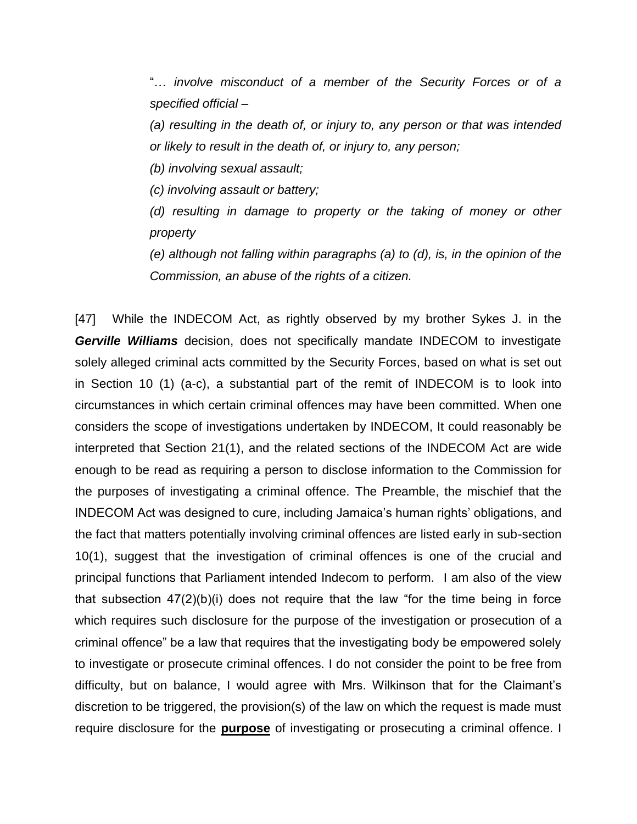"… *involve misconduct of a member of the Security Forces or of a specified official –*

*(a) resulting in the death of, or injury to, any person or that was intended or likely to result in the death of, or injury to, any person;*

*(b) involving sexual assault;*

*(c) involving assault or battery;*

*(d) resulting in damage to property or the taking of money or other property*

*(e) although not falling within paragraphs (a) to (d), is, in the opinion of the Commission, an abuse of the rights of a citizen.*

[47] While the INDECOM Act, as rightly observed by my brother Sykes J. in the *Gerville Williams* decision, does not specifically mandate INDECOM to investigate solely alleged criminal acts committed by the Security Forces, based on what is set out in Section 10 (1) (a-c), a substantial part of the remit of INDECOM is to look into circumstances in which certain criminal offences may have been committed. When one considers the scope of investigations undertaken by INDECOM, It could reasonably be interpreted that Section 21(1), and the related sections of the INDECOM Act are wide enough to be read as requiring a person to disclose information to the Commission for the purposes of investigating a criminal offence. The Preamble, the mischief that the INDECOM Act was designed to cure, including Jamaica's human rights' obligations, and the fact that matters potentially involving criminal offences are listed early in sub-section 10(1), suggest that the investigation of criminal offences is one of the crucial and principal functions that Parliament intended Indecom to perform. I am also of the view that subsection 47(2)(b)(i) does not require that the law "for the time being in force which requires such disclosure for the purpose of the investigation or prosecution of a criminal offence" be a law that requires that the investigating body be empowered solely to investigate or prosecute criminal offences. I do not consider the point to be free from difficulty, but on balance, I would agree with Mrs. Wilkinson that for the Claimant's discretion to be triggered, the provision(s) of the law on which the request is made must require disclosure for the **purpose** of investigating or prosecuting a criminal offence. I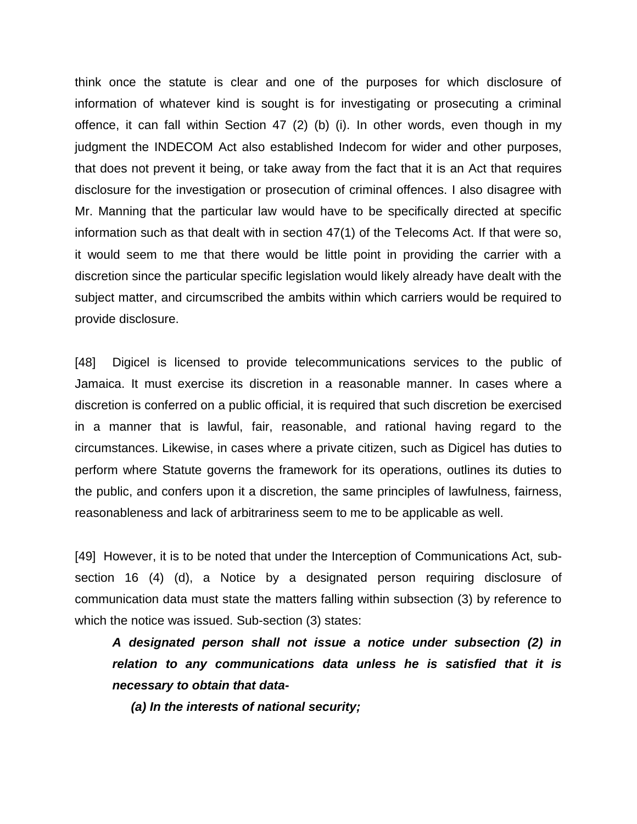think once the statute is clear and one of the purposes for which disclosure of information of whatever kind is sought is for investigating or prosecuting a criminal offence, it can fall within Section 47 (2) (b) (i). In other words, even though in my judgment the INDECOM Act also established Indecom for wider and other purposes, that does not prevent it being, or take away from the fact that it is an Act that requires disclosure for the investigation or prosecution of criminal offences. I also disagree with Mr. Manning that the particular law would have to be specifically directed at specific information such as that dealt with in section 47(1) of the Telecoms Act. If that were so, it would seem to me that there would be little point in providing the carrier with a discretion since the particular specific legislation would likely already have dealt with the subject matter, and circumscribed the ambits within which carriers would be required to provide disclosure.

[48] Digicel is licensed to provide telecommunications services to the public of Jamaica. It must exercise its discretion in a reasonable manner. In cases where a discretion is conferred on a public official, it is required that such discretion be exercised in a manner that is lawful, fair, reasonable, and rational having regard to the circumstances. Likewise, in cases where a private citizen, such as Digicel has duties to perform where Statute governs the framework for its operations, outlines its duties to the public, and confers upon it a discretion, the same principles of lawfulness, fairness, reasonableness and lack of arbitrariness seem to me to be applicable as well.

[49] However, it is to be noted that under the Interception of Communications Act, subsection 16 (4) (d), a Notice by a designated person requiring disclosure of communication data must state the matters falling within subsection (3) by reference to which the notice was issued. Sub-section (3) states:

*A designated person shall not issue a notice under subsection (2) in relation to any communications data unless he is satisfied that it is necessary to obtain that data-*

*(a) In the interests of national security;*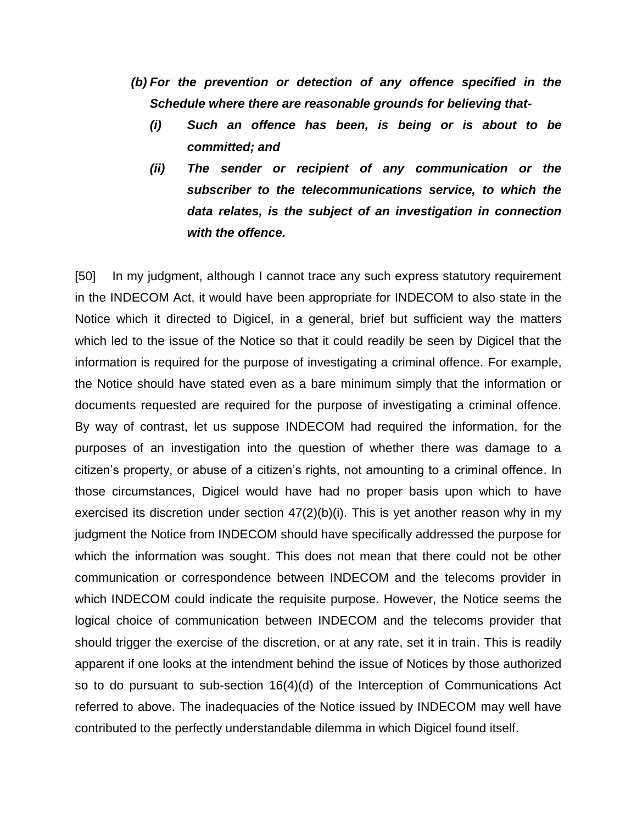- *(b) For the prevention or detection of any offence specified in the Schedule where there are reasonable grounds for believing that-*
	- *(i) Such an offence has been, is being or is about to be committed; and*
	- *(ii) The sender or recipient of any communication or the subscriber to the telecommunications service, to which the data relates, is the subject of an investigation in connection with the offence.*

[50] In my judgment, although I cannot trace any such express statutory requirement in the INDECOM Act, it would have been appropriate for INDECOM to also state in the Notice which it directed to Digicel, in a general, brief but sufficient way the matters which led to the issue of the Notice so that it could readily be seen by Digicel that the information is required for the purpose of investigating a criminal offence. For example, the Notice should have stated even as a bare minimum simply that the information or documents requested are required for the purpose of investigating a criminal offence. By way of contrast, let us suppose INDECOM had required the information, for the purposes of an investigation into the question of whether there was damage to a citizen's property, or abuse of a citizen's rights, not amounting to a criminal offence. In those circumstances, Digicel would have had no proper basis upon which to have exercised its discretion under section 47(2)(b)(i). This is yet another reason why in my judgment the Notice from INDECOM should have specifically addressed the purpose for which the information was sought. This does not mean that there could not be other communication or correspondence between INDECOM and the telecoms provider in which INDECOM could indicate the requisite purpose. However, the Notice seems the logical choice of communication between INDECOM and the telecoms provider that should trigger the exercise of the discretion, or at any rate, set it in train. This is readily apparent if one looks at the intendment behind the issue of Notices by those authorized so to do pursuant to sub-section 16(4)(d) of the Interception of Communications Act referred to above. The inadequacies of the Notice issued by INDECOM may well have contributed to the perfectly understandable dilemma in which Digicel found itself.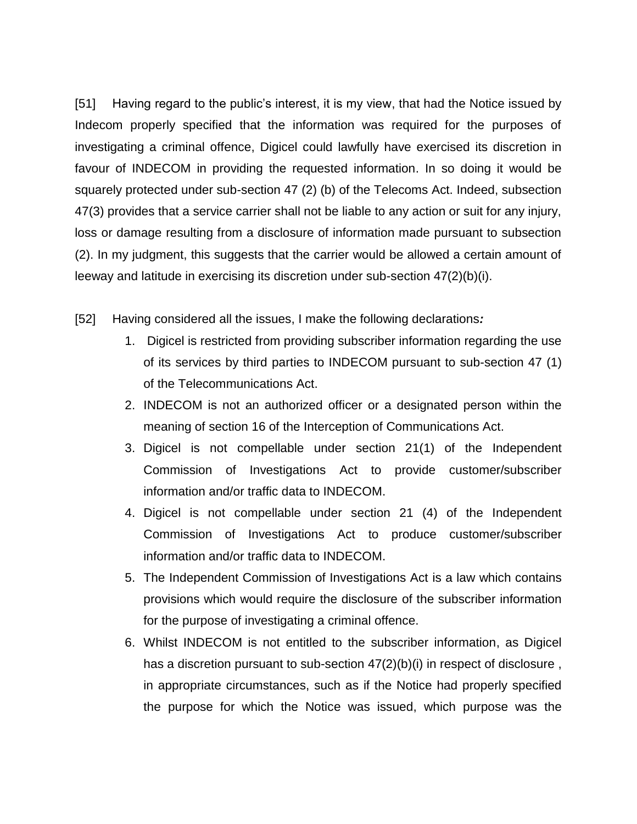[51] Having regard to the public's interest, it is my view, that had the Notice issued by Indecom properly specified that the information was required for the purposes of investigating a criminal offence, Digicel could lawfully have exercised its discretion in favour of INDECOM in providing the requested information. In so doing it would be squarely protected under sub-section 47 (2) (b) of the Telecoms Act. Indeed, subsection 47(3) provides that a service carrier shall not be liable to any action or suit for any injury, loss or damage resulting from a disclosure of information made pursuant to subsection (2). In my judgment, this suggests that the carrier would be allowed a certain amount of leeway and latitude in exercising its discretion under sub-section 47(2)(b)(i).

- [52] Having considered all the issues, I make the following declarations*:*
	- 1. Digicel is restricted from providing subscriber information regarding the use of its services by third parties to INDECOM pursuant to sub-section 47 (1) of the Telecommunications Act.
	- 2. INDECOM is not an authorized officer or a designated person within the meaning of section 16 of the Interception of Communications Act.
	- 3. Digicel is not compellable under section 21(1) of the Independent Commission of Investigations Act to provide customer/subscriber information and/or traffic data to INDECOM.
	- 4. Digicel is not compellable under section 21 (4) of the Independent Commission of Investigations Act to produce customer/subscriber information and/or traffic data to INDECOM.
	- 5. The Independent Commission of Investigations Act is a law which contains provisions which would require the disclosure of the subscriber information for the purpose of investigating a criminal offence.
	- 6. Whilst INDECOM is not entitled to the subscriber information, as Digicel has a discretion pursuant to sub-section  $47(2)(b)(i)$  in respect of disclosure, in appropriate circumstances, such as if the Notice had properly specified the purpose for which the Notice was issued, which purpose was the